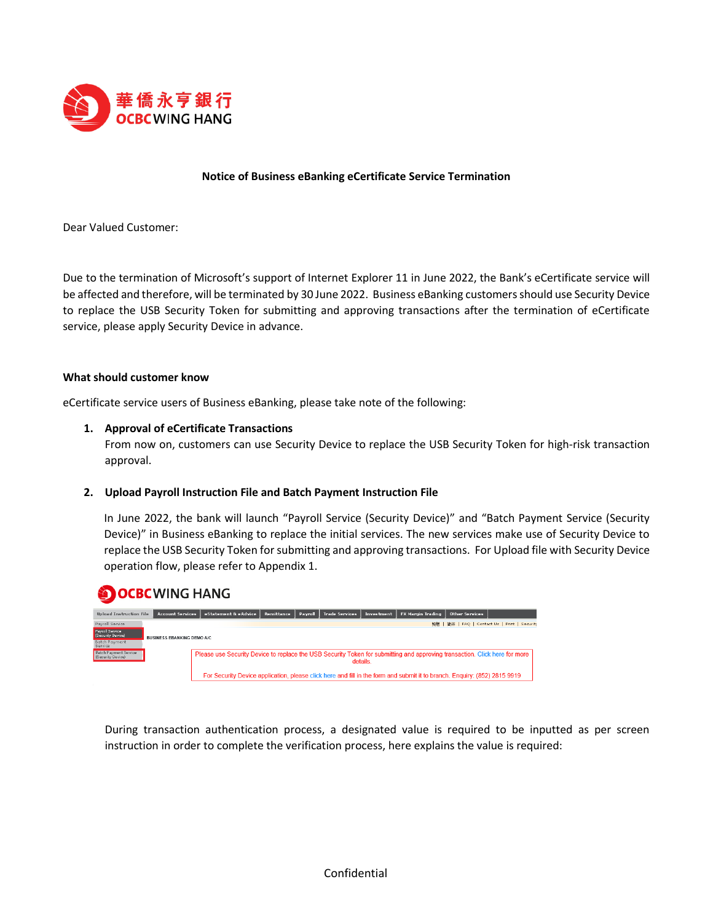

# **Notice of Business eBanking eCertificate Service Termination**

Dear Valued Customer:

Due to the termination of Microsoft's support of Internet Explorer 11 in June 2022, the Bank's eCertificate service will be affected and therefore, will be terminated by 30 June 2022. Business eBanking customersshould use Security Device to replace the USB Security Token for submitting and approving transactions after the termination of eCertificate service, please apply Security Device in advance.

#### **What should customer know**

eCertificate service users of Business eBanking, please take note of the following:

#### **1. Approval of eCertificate Transactions**

From now on, customers can use Security Device to replace the USB Security Token for high-risk transaction approval.

## **2. Upload Payroll Instruction File and Batch Payment Instruction File**

In June 2022, the bank will launch "Payroll Service (Security Device)" and "Batch Payment Service (Security Device)" in Business eBanking to replace the initial services. The new services make use of Security Device to replace the USB Security Token for submitting and approving transactions. For Upload file with Security Device operation flow, please refer to Appendix 1.



During transaction authentication process, a designated value is required to be inputted as per screen instruction in order to complete the verification process, here explains the value is required: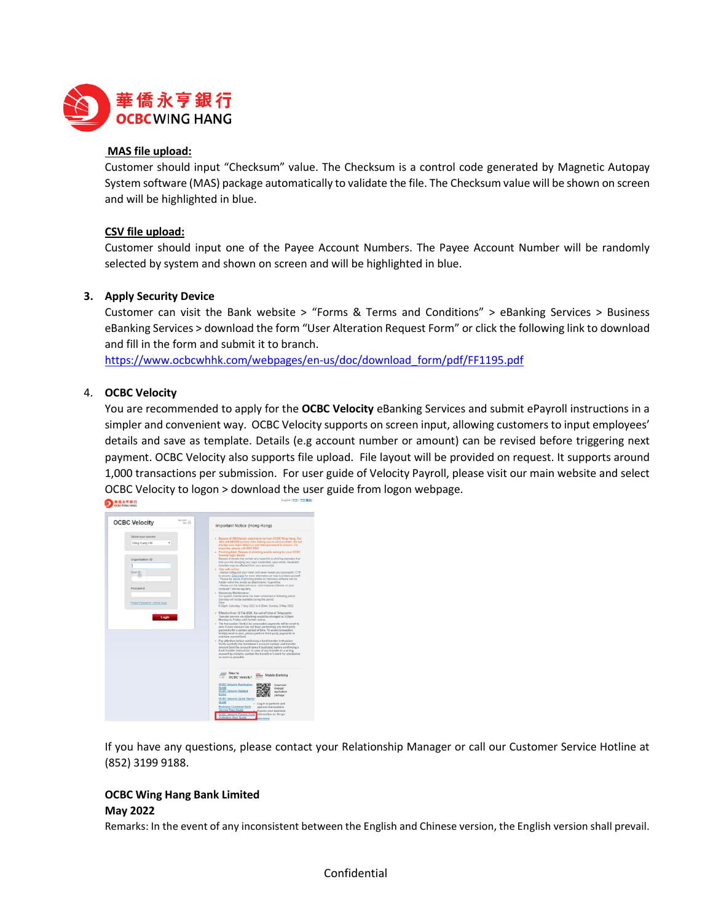

# **MAS file upload:**

Customer should input "Checksum" value. The Checksum is a control code generated by Magnetic Autopay System software (MAS) package automatically to validate the file. The Checksum value will be shown on screen and will be highlighted in blue.

# **CSV file upload:**

Customer should input one of the Payee Account Numbers. The Payee Account Number will be randomly selected by system and shown on screen and will be highlighted in blue.

# **3. Apply Security Device**

Customer can visit the Bank website > "Forms & Terms and Conditions" > eBanking Services > Business eBanking Services > download the form "User Alteration Request Form" or click the following link to download and fill in the form and submit it to branch.

[https://www.ocbcwhhk.com/webpages/en-us/doc/download\\_form/pdf/FF1195.pdf](https://www.ocbcwhhk.com/webpages/en-us/doc/download_form/pdf/FF1195.pdf)

# 4. **OCBC Velocity**

You are recommended to apply for the **OCBC Velocity** eBanking Services and submit ePayroll instructions in a simpler and convenient way. OCBC Velocity supports on screen input, allowing customers to input employees' details and save as template. Details (e.g account number or amount) can be revised before triggering next payment. OCBC Velocity also supports file upload. File layout will be provided on request. It supports around 1,000 transactions per submission. For user guide of Velocity Payroll, please visit our main website and select OCBC Velocity to logon > download the user guide from logon webpage.



If you have any questions, please contact your Relationship Manager or call our Customer Service Hotline at (852) 3199 9188.

# **OCBC Wing Hang Bank Limited May 2022**

Remarks: In the event of any inconsistent between the English and Chinese version, the English version shall prevail.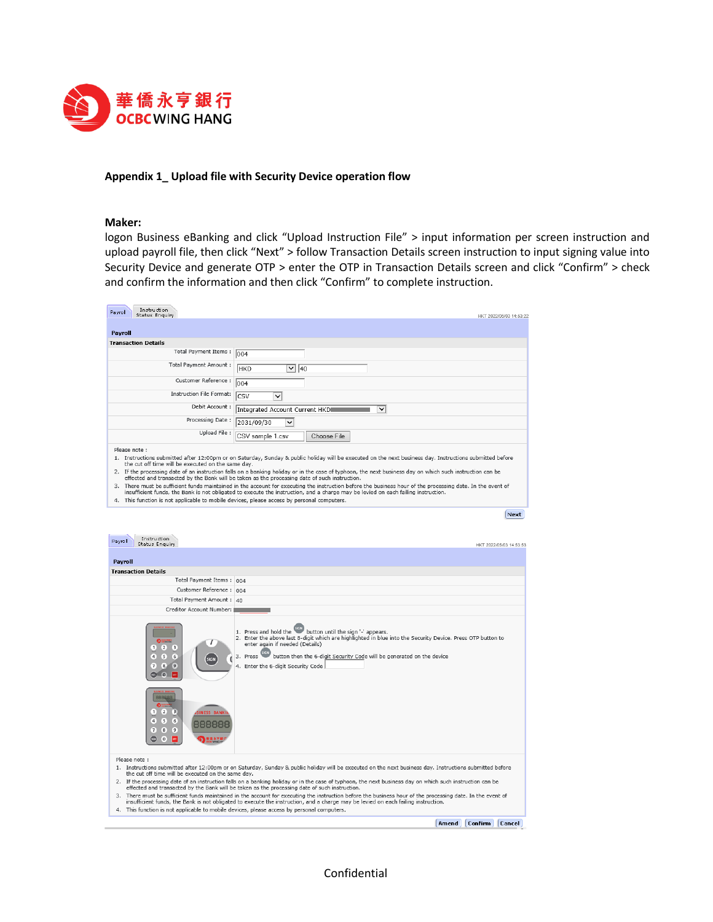

#### **Appendix 1\_ Upload file with Security Device operation flow**

#### **Maker:**

logon Business eBanking and click "Upload Instruction File" > input information per screen instruction and upload payroll file, then click "Next" > follow Transaction Details screen instruction to input signing value into Security Device and generate OTP > enter the OTP in Transaction Details screen and click "Confirm" > check and confirm the information and then click "Confirm" to complete instruction.

| Instruction<br>Pavroll<br><b>Status Enquiry</b>    | HKT 2022/05/03 14:53:22                                                                                                                                                                                                                                                                         |
|----------------------------------------------------|-------------------------------------------------------------------------------------------------------------------------------------------------------------------------------------------------------------------------------------------------------------------------------------------------|
|                                                    |                                                                                                                                                                                                                                                                                                 |
| Payroll                                            |                                                                                                                                                                                                                                                                                                 |
| <b>Transaction Details</b>                         |                                                                                                                                                                                                                                                                                                 |
| Total Payment Items:                               | 004                                                                                                                                                                                                                                                                                             |
| Total Payment Amount:                              | $\vee$ 40<br><b>HKD</b>                                                                                                                                                                                                                                                                         |
| Customer Reference:                                | 004                                                                                                                                                                                                                                                                                             |
| <b>Instruction File Format:</b>                    | <b>CSV</b><br>$\checkmark$                                                                                                                                                                                                                                                                      |
| Debit Account:                                     | Integrated Account Current HKDI<br>$\checkmark$                                                                                                                                                                                                                                                 |
| Processing Date:                                   | 2031/09/30<br>$\checkmark$                                                                                                                                                                                                                                                                      |
| Upload File:                                       | CSV sample 1.csv<br>Choose File                                                                                                                                                                                                                                                                 |
| Please note:                                       |                                                                                                                                                                                                                                                                                                 |
| the cut off time will be executed on the same day. | 1. Instructions submitted after 12:00pm or on Saturday, Sunday & public holiday will be executed on the next business day. Instructions submitted before                                                                                                                                        |
|                                                    | 2. If the processing date of an instruction falls on a banking holiday or in the case of typhoon, the next business day on which such instruction can be<br>effected and transacted by the Bank will be taken as the processing date of such instruction.                                       |
|                                                    | 3. There must be sufficient funds maintained in the account for executing the instruction before the business hour of the processing date. In the event of<br>insufficient funds, the Bank is not obligated to execute the instruction, and a charge may be levied on each failing instruction. |

4. This function is not applicable to mobile devices, please access by personal computers.

Next

| Instruction<br>Payroll<br>Status Enguiry                                                                                                                                                                                                                  | HKT 2022/05/03 14:53:5                                                                                                                                                                                                                                                                                                               |  |  |  |  |
|-----------------------------------------------------------------------------------------------------------------------------------------------------------------------------------------------------------------------------------------------------------|--------------------------------------------------------------------------------------------------------------------------------------------------------------------------------------------------------------------------------------------------------------------------------------------------------------------------------------|--|--|--|--|
| <b>Payroll</b>                                                                                                                                                                                                                                            |                                                                                                                                                                                                                                                                                                                                      |  |  |  |  |
| <b>Transaction Details</b>                                                                                                                                                                                                                                |                                                                                                                                                                                                                                                                                                                                      |  |  |  |  |
| Total Payment Items: 004                                                                                                                                                                                                                                  |                                                                                                                                                                                                                                                                                                                                      |  |  |  |  |
| Customer Reference: 004                                                                                                                                                                                                                                   |                                                                                                                                                                                                                                                                                                                                      |  |  |  |  |
| Total Payment Amount: 40                                                                                                                                                                                                                                  |                                                                                                                                                                                                                                                                                                                                      |  |  |  |  |
| Creditor Account Number:                                                                                                                                                                                                                                  |                                                                                                                                                                                                                                                                                                                                      |  |  |  |  |
| <b>O</b> !!!!!!<br>(2)<br>$\mathbf{1}$<br>$\left(3\right)$<br>$\sqrt{5}$<br>$\left( 4\right)$<br>[6]<br><b>SIGN</b><br>(8)<br>$\overline{7}$<br>$\left(9\right)$<br>$\left( 0 \right)$                                                                    | 1. Press and hold the button until the sign '- appears.<br>2. Enter the above last 8-digit which are highlighted in blue into the Security Device. Press OTP button to<br>enter again if needed (Details)<br>button then the 6-digit Security Code will be generated on the device<br>3. Press<br>4. Enter the 6-digit Security Code |  |  |  |  |
| 888888<br><u>ຄະະ</u><br>$\mathbf{1}$<br>$\mathbf{2}$<br>$\left(3\right)$<br><b>SINESS BANKI</b><br>$\left( 5\right)$<br>$\overline{4}$<br>6<br>888888<br>$\overline{7}$<br>$^{8}$<br>$\left(9\right)$<br>g<br>o                                           |                                                                                                                                                                                                                                                                                                                                      |  |  |  |  |
| Please note:<br>the cut off time will be executed on the same day.                                                                                                                                                                                        | 1. Instructions submitted after 12:00pm or on Saturday, Sunday & public holiday will be executed on the next business day. Instructions submitted before                                                                                                                                                                             |  |  |  |  |
| 2. If the processing date of an instruction falls on a banking holiday or in the case of typhoon, the next business day on which such instruction can be<br>effected and transacted by the Bank will be taken as the processing date of such instruction. |                                                                                                                                                                                                                                                                                                                                      |  |  |  |  |
|                                                                                                                                                                                                                                                           | 3. There must be sufficient funds maintained in the account for executing the instruction before the business hour of the processing date. In the event of<br>insufficient funds, the Bank is not obligated to execute the instruction, and a charge may be levied on each failing instruction.                                      |  |  |  |  |
| 4. This function is not applicable to mobile devices, please access by personal computers.                                                                                                                                                                |                                                                                                                                                                                                                                                                                                                                      |  |  |  |  |

**Amend** Confirm Cancel